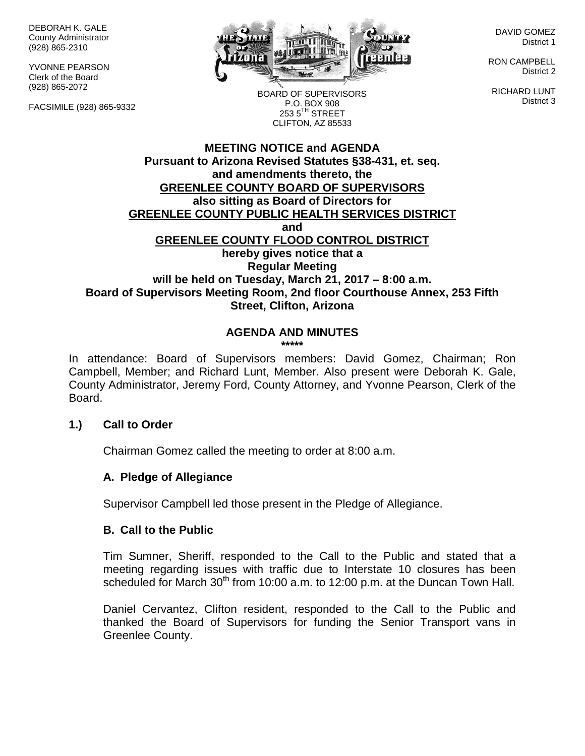DEBORAH K. GALE County Administrator (928) 865-2310

YVONNE PEARSON Clerk of the Board (928) 865-2072

FACSIMILE (928) 865-9332



DAVID GOMEZ District 1

RON CAMPBELL District 2

RICHARD LUNT District 3

BOARD OF SUPERVISORS P.O. BOX 908  $253.5$ <sup>TH</sup> STREET CLIFTON, AZ 85533

### **MEETING NOTICE and AGENDA Pursuant to Arizona Revised Statutes §38-431, et. seq. and amendments thereto, the GREENLEE COUNTY BOARD OF SUPERVISORS also sitting as Board of Directors for GREENLEE COUNTY PUBLIC HEALTH SERVICES DISTRICT and GREENLEE COUNTY FLOOD CONTROL DISTRICT hereby gives notice that a Regular Meeting will be held on Tuesday, March 21, 2017 – 8:00 a.m. Board of Supervisors Meeting Room, 2nd floor Courthouse Annex, 253 Fifth Street, Clifton, Arizona**

# **AGENDA AND MINUTES**

**\*\*\*\*\***

In attendance: Board of Supervisors members: David Gomez, Chairman; Ron Campbell, Member; and Richard Lunt, Member. Also present were Deborah K. Gale, County Administrator, Jeremy Ford, County Attorney, and Yvonne Pearson, Clerk of the Board.

### **1.) Call to Order**

Chairman Gomez called the meeting to order at 8:00 a.m.

### **A. Pledge of Allegiance**

Supervisor Campbell led those present in the Pledge of Allegiance.

### **B. Call to the Public**

Tim Sumner, Sheriff, responded to the Call to the Public and stated that a meeting regarding issues with traffic due to Interstate 10 closures has been scheduled for March 30<sup>th</sup> from 10:00 a.m. to 12:00 p.m. at the Duncan Town Hall.

Daniel Cervantez, Clifton resident, responded to the Call to the Public and thanked the Board of Supervisors for funding the Senior Transport vans in Greenlee County.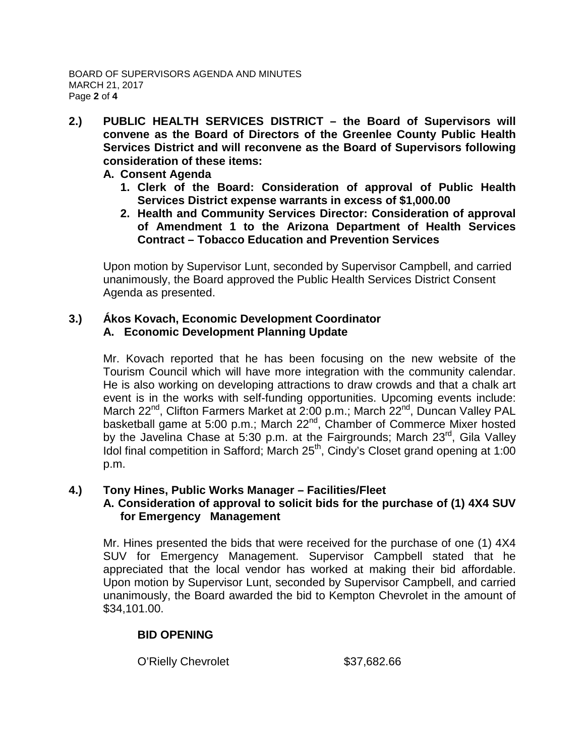- **2.) PUBLIC HEALTH SERVICES DISTRICT – the Board of Supervisors will convene as the Board of Directors of the Greenlee County Public Health Services District and will reconvene as the Board of Supervisors following consideration of these items:**
	- **A. Consent Agenda**
		- **1. Clerk of the Board: Consideration of approval of Public Health Services District expense warrants in excess of \$1,000.00**
		- **2. Health and Community Services Director: Consideration of approval of Amendment 1 to the Arizona Department of Health Services Contract – Tobacco Education and Prevention Services**

Upon motion by Supervisor Lunt, seconded by Supervisor Campbell, and carried unanimously, the Board approved the Public Health Services District Consent Agenda as presented.

## **3.) Ákos Kovach, Economic Development Coordinator A. Economic Development Planning Update**

Mr. Kovach reported that he has been focusing on the new website of the Tourism Council which will have more integration with the community calendar. He is also working on developing attractions to draw crowds and that a chalk art event is in the works with self-funding opportunities. Upcoming events include: March 22<sup>nd</sup>, Clifton Farmers Market at 2:00 p.m.; March 22<sup>nd</sup>, Duncan Valley PAL basketball game at 5:00 p.m.; March 22<sup>nd</sup>, Chamber of Commerce Mixer hosted by the Javelina Chase at 5:30 p.m. at the Fairgrounds; March 23<sup>rd</sup>, Gila Valley Idol final competition in Safford; March 25<sup>th</sup>, Cindy's Closet grand opening at 1:00 p.m.

### **4.) Tony Hines, Public Works Manager – Facilities/Fleet**

### **A. Consideration of approval to solicit bids for the purchase of (1) 4X4 SUV for Emergency Management**

Mr. Hines presented the bids that were received for the purchase of one (1) 4X4 SUV for Emergency Management. Supervisor Campbell stated that he appreciated that the local vendor has worked at making their bid affordable. Upon motion by Supervisor Lunt, seconded by Supervisor Campbell, and carried unanimously, the Board awarded the bid to Kempton Chevrolet in the amount of \$34,101.00.

# **BID OPENING**

O'Rielly Chevrolet \$37,682.66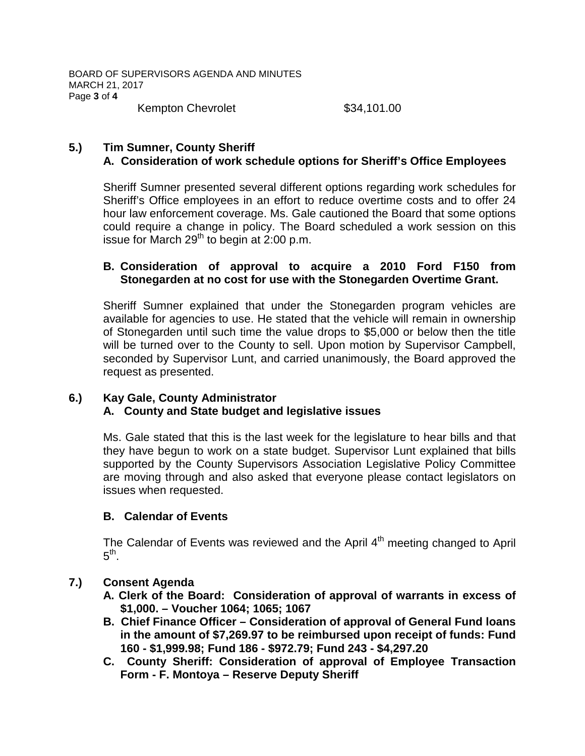Kempton Chevrolet  $$34,101.00$ 

## **5.) Tim Sumner, County Sheriff A. Consideration of work schedule options for Sheriff's Office Employees**

Sheriff Sumner presented several different options regarding work schedules for Sheriff's Office employees in an effort to reduce overtime costs and to offer 24 hour law enforcement coverage. Ms. Gale cautioned the Board that some options could require a change in policy. The Board scheduled a work session on this issue for March  $29<sup>th</sup>$  to begin at 2:00 p.m.

### **B. Consideration of approval to acquire a 2010 Ford F150 from Stonegarden at no cost for use with the Stonegarden Overtime Grant.**

Sheriff Sumner explained that under the Stonegarden program vehicles are available for agencies to use. He stated that the vehicle will remain in ownership of Stonegarden until such time the value drops to \$5,000 or below then the title will be turned over to the County to sell. Upon motion by Supervisor Campbell, seconded by Supervisor Lunt, and carried unanimously, the Board approved the request as presented.

# **6.) Kay Gale, County Administrator**

# **A. County and State budget and legislative issues**

Ms. Gale stated that this is the last week for the legislature to hear bills and that they have begun to work on a state budget. Supervisor Lunt explained that bills supported by the County Supervisors Association Legislative Policy Committee are moving through and also asked that everyone please contact legislators on issues when requested.

# **B. Calendar of Events**

The Calendar of Events was reviewed and the April  $4<sup>th</sup>$  meeting changed to April  $5^{\text{th}}$ .

# **7.) Consent Agenda**

- **A. Clerk of the Board: Consideration of approval of warrants in excess of \$1,000. – Voucher 1064; 1065; 1067**
- **B. Chief Finance Officer – Consideration of approval of General Fund loans in the amount of \$7,269.97 to be reimbursed upon receipt of funds: Fund 160 - \$1,999.98; Fund 186 - \$972.79; Fund 243 - \$4,297.20**
- **C. County Sheriff: Consideration of approval of Employee Transaction Form - F. Montoya – Reserve Deputy Sheriff**